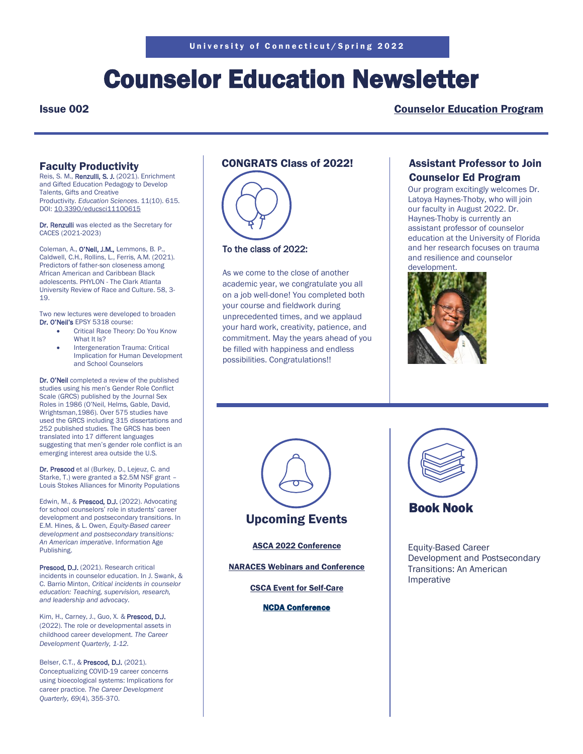# Counselor Education Newsletter

### Issue 002 [Counselor Education Program](https://counseling.education.uconn.edu/)

## Faculty Productivity

Reis, S. M., Renzulli, S. J. (2021). Enrichment and Gifted Education Pedagogy to Develop Talents, Gifts and Creative Productivity. *Education Sciences*. 11(10). 615. DOI: [10.3390/educsci11100615](https://nam10.safelinks.protection.outlook.com/?url=http%3A%2F%2Fdx.doi.org%2F10.3390%2Feducsci11100615&data=04%7C01%7C%7C1946002ad6a24e4ab3e708da14045f3a%7C17f1a87e2a254eaab9df9d439034b080%7C0%7C0%7C637844306248010741%7CUnknown%7CTWFpbGZsb3d8eyJWIjoiMC4wLjAwMDAiLCJQIjoiV2luMzIiLCJBTiI6Ik1haWwiLCJXVCI6Mn0%3D%7C3000&sdata=9HJ%2B03HjLaqVQOVdMIk6NOqXRzfmw97PZuir2Q1usDY%3D&reserved=0)

Dr. Renzulli was elected as the Secretary for CACES (2021-2023)

Coleman, A., O'Neil, J.M., Lemmons, B. P., Caldwell, C.H., Rollins, L., Ferris, A.M. (2021). Predictors of father-son closeness among African American and Caribbean Black adolescents. PHYLON - The Clark Atlanta University Review of Race and Culture. 58, 3- 19.

Two new lectures were developed to broaden Dr. O'Neil's EPSY 5318 course:

- Critical Race Theory: Do You Know What It Is?
- Intergeneration Trauma: Critical Implication for Human Development and School Counselors

Dr. O'Neil completed a review of the published studies using his men's Gender Role Conflict Scale (GRCS) published by the Journal Sex Roles in 1986 (O'Neil, Helms, Gable, David, Wrightsman,1986). Over 575 studies have used the GRCS including 315 dissertations and 252 published studies. The GRCS has been translated into 17 different languages suggesting that men's gender role conflict is an emerging interest area outside the U.S.

Dr. Prescod et al (Burkey, D., Lejeuz, C. and Starke, T.) were granted a \$2.5M NSF grant – Louis Stokes Alliances for Minority Populations

Edwin, M., & Prescod, D.J. (2022). Advocating for school counselors' role in students' career development and postsecondary transitions. In E.M. Hines, & L. Owen, *Equity-Based career development and postsecondary transitions: An American imperative*. Information Age Publishing.

Prescod, D.J. (2021). Research critical incidents in counselor education. In J. Swank, & C. Barrio Minton, *Critical incidents in counselor education: Teaching, supervision, research, and leadership and advocacy.*

Kim, H., Carney, J., Guo, X. & Prescod, D.J. (2022). The role or developmental assets in childhood career development. *The Career Development Quarterly, 1-12.* 

Belser, C.T., & Prescod, D.J. (2021). Conceptualizing COVID-19 career concerns using bioecological systems: Implications for career practice. *The Career Development Quarterly, 69*(4), 355-370.

# CONGRATS Class of 2022!



### To the class of 2022:

As we come to the close of another academic year, we congratulate you all on a job well-done! You completed both your course and fieldwork during unprecedented times, and we applaud your hard work, creativity, patience, and commitment. May the years ahead of you be filled with happiness and endless possibilities. Congratulations!!

## Assistant Professor to Join Counselor Ed Program

Our program excitingly welcomes Dr. Latoya Haynes-Thoby, who will join our faculty in August 2022. Dr. Haynes-Thoby is currently an assistant professor of counselor education at the University of Florida and her research focuses on trauma and resilience and counselor development.





[ASCA 2022 Conference](https://ascaconferences.org/)

[NARACES Webinars and Conference](https://naraces.org/)

[CSCA Event for Self-Care](https://csca.wildapricot.org/events)

[NCDA Conference](https://www.ncdaconference.org/aws/NCDA/pt/sp/conference_home)



Equity-Based Career Development and Postsecondary Transitions: An American Imperative